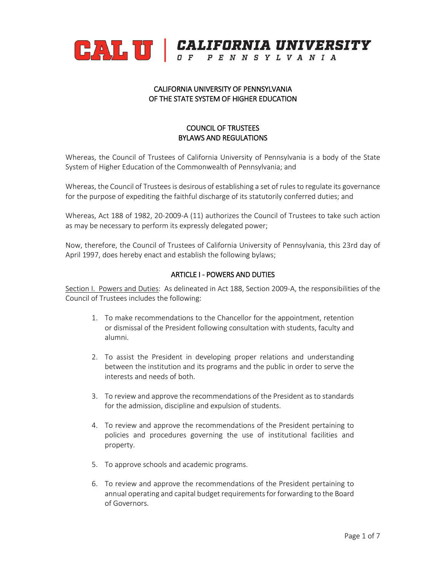

#### CALIFORNIA UNIVERSITY OF PENNSYLVANIA OF THE STATE SYSTEM OF HIGHER EDUCATION

#### COUNCIL OF TRUSTEES BYLAWS AND REGULATIONS

Whereas, the Council of Trustees of California University of Pennsylvania is a body of the State System of Higher Education of the Commonwealth of Pennsylvania; and

Whereas, the Council of Trustees is desirous of establishing a set of rules to regulate its governance for the purpose of expediting the faithful discharge of its statutorily conferred duties; and

Whereas, Act 188 of 1982, 20-2009-A (11) authorizes the Council of Trustees to take such action as may be necessary to perform its expressly delegated power;

Now, therefore, the Council of Trustees of California University of Pennsylvania, this 23rd day of April 1997, does hereby enact and establish the following bylaws;

#### ARTICLE I - POWERS AND DUTIES

Section I. Powers and Duties: As delineated in Act 188, Section 2009-A, the responsibilities of the Council of Trustees includes the following:

- 1. To make recommendations to the Chancellor for the appointment, retention or dismissal of the President following consultation with students, faculty and alumni.
- 2. To assist the President in developing proper relations and understanding between the institution and its programs and the public in order to serve the interests and needs of both.
- 3. To review and approve the recommendations of the President as to standards for the admission, discipline and expulsion of students.
- 4. To review and approve the recommendations of the President pertaining to policies and procedures governing the use of institutional facilities and property.
- 5. To approve schools and academic programs.
- 6. To review and approve the recommendations of the President pertaining to annual operating and capital budget requirements for forwarding to the Board of Governors.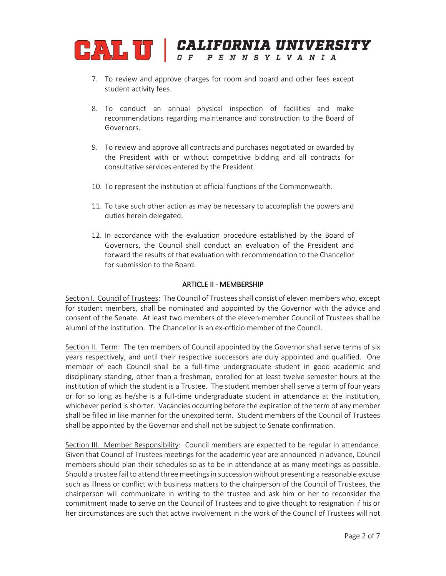

- 7. To review and approve charges for room and board and other fees except student activity fees.
- 8. To conduct an annual physical inspection of facilities and make recommendations regarding maintenance and construction to the Board of Governors.
- 9. To review and approve all contracts and purchases negotiated or awarded by the President with or without competitive bidding and all contracts for consultative services entered by the President.
- 10. To represent the institution at official functions of the Commonwealth.
- 11. To take such other action as may be necessary to accomplish the powers and duties herein delegated.
- 12. In accordance with the evaluation procedure established by the Board of Governors, the Council shall conduct an evaluation of the President and forward the results of that evaluation with recommendation to the Chancellor for submission to the Board.

#### ARTICLE II - MEMBERSHIP

Section I. Council of Trustees: The Council of Trustees shall consist of eleven members who, except for student members, shall be nominated and appointed by the Governor with the advice and consent of the Senate. At least two members of the eleven-member Council of Trustees shall be alumni of the institution. The Chancellor is an ex-officio member of the Council.

Section II. Term: The ten members of Council appointed by the Governor shall serve terms of six years respectively, and until their respective successors are duly appointed and qualified. One member of each Council shall be a full-time undergraduate student in good academic and disciplinary standing, other than a freshman, enrolled for at least twelve semester hours at the institution of which the student is a Trustee. The student member shall serve a term of four years or for so long as he/she is a full-time undergraduate student in attendance at the institution, whichever period is shorter. Vacancies occurring before the expiration of the term of any member shall be filled in like manner for the unexpired term. Student members of the Council of Trustees shall be appointed by the Governor and shall not be subject to Senate confirmation.

Section III. Member Responsibility: Council members are expected to be regular in attendance. Given that Council of Trustees meetings for the academic year are announced in advance, Council members should plan their schedules so as to be in attendance at as many meetings as possible. Should a trustee fail to attend three meetings in succession without presenting a reasonable excuse such as illness or conflict with business matters to the chairperson of the Council of Trustees, the chairperson will communicate in writing to the trustee and ask him or her to reconsider the commitment made to serve on the Council of Trustees and to give thought to resignation if his or her circumstances are such that active involvement in the work of the Council of Trustees will not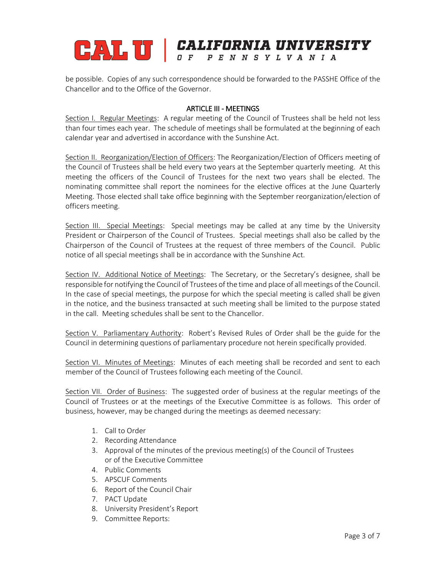### CALL U | CALIFORNIA UNIVERSITY OF PENNSYLVANIA

be possible. Copies of any such correspondence should be forwarded to the PASSHE Office of the Chancellor and to the Office of the Governor.

#### ARTICLE III - MEETINGS

Section I. Regular Meetings: A regular meeting of the Council of Trustees shall be held not less than four times each year. The schedule of meetings shall be formulated at the beginning of each calendar year and advertised in accordance with the Sunshine Act.

Section II. Reorganization/Election of Officers: The Reorganization/Election of Officers meeting of the Council of Trustees shall be held every two years at the September quarterly meeting. At this meeting the officers of the Council of Trustees for the next two years shall be elected. The nominating committee shall report the nominees for the elective offices at the June Quarterly Meeting. Those elected shall take office beginning with the September reorganization/election of officers meeting.

Section III. Special Meetings: Special meetings may be called at any time by the University President or Chairperson of the Council of Trustees. Special meetings shall also be called by the Chairperson of the Council of Trustees at the request of three members of the Council. Public notice of all special meetings shall be in accordance with the Sunshine Act.

Section IV. Additional Notice of Meetings: The Secretary, or the Secretary's designee, shall be responsible for notifying the Council of Trustees of the time and place of all meetings of the Council. In the case of special meetings, the purpose for which the special meeting is called shall be given in the notice, and the business transacted at such meeting shall be limited to the purpose stated in the call. Meeting schedules shall be sent to the Chancellor.

Section V. Parliamentary Authority: Robert's Revised Rules of Order shall be the guide for the Council in determining questions of parliamentary procedure not herein specifically provided.

Section VI. Minutes of Meetings: Minutes of each meeting shall be recorded and sent to each member of the Council of Trustees following each meeting of the Council.

Section VII. Order of Business: The suggested order of business at the regular meetings of the Council of Trustees or at the meetings of the Executive Committee is as follows. This order of business, however, may be changed during the meetings as deemed necessary:

- 1. Call to Order
- 2. Recording Attendance
- 3. Approval of the minutes of the previous meeting(s) of the Council of Trustees or of the Executive Committee
- 4. Public Comments
- 5. APSCUF Comments
- 6. Report of the Council Chair
- 7. PACT Update
- 8. University President's Report
- 9. Committee Reports: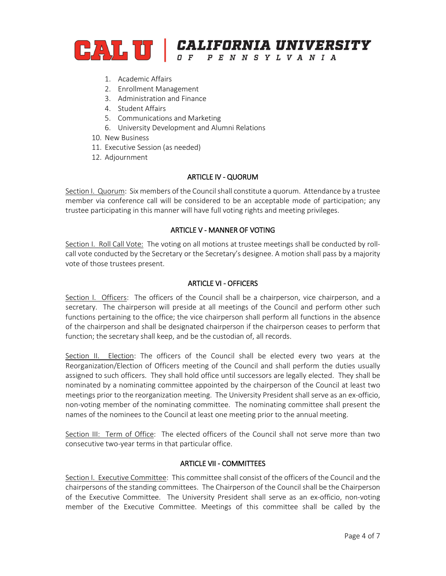

- 1. Academic Affairs
- 2. Enrollment Management
- 3. Administration and Finance
- 4. Student Affairs
- 5. Communications and Marketing
- 6. University Development and Alumni Relations
- 10. New Business
- 11. Executive Session (as needed)
- 12. Adjournment

#### ARTICLE IV - QUORUM

Section I. Quorum: Six members of the Council shall constitute a quorum. Attendance by a trustee member via conference call will be considered to be an acceptable mode of participation; any trustee participating in this manner will have full voting rights and meeting privileges.

#### ARTICLE V - MANNER OF VOTING

Section I. Roll Call Vote: The voting on all motions at trustee meetings shall be conducted by rollcall vote conducted by the Secretary or the Secretary's designee. A motion shall pass by a majority vote of those trustees present.

#### ARTICLE VI - OFFICERS

Section I. Officers: The officers of the Council shall be a chairperson, vice chairperson, and a secretary. The chairperson will preside at all meetings of the Council and perform other such functions pertaining to the office; the vice chairperson shall perform all functions in the absence of the chairperson and shall be designated chairperson if the chairperson ceases to perform that function; the secretary shall keep, and be the custodian of, all records.

Section II. Election: The officers of the Council shall be elected every two years at the Reorganization/Election of Officers meeting of the Council and shall perform the duties usually assigned to such officers. They shall hold office until successors are legally elected. They shall be nominated by a nominating committee appointed by the chairperson of the Council at least two meetings prior to the reorganization meeting. The University President shall serve as an ex-officio, non-voting member of the nominating committee. The nominating committee shall present the names of the nominees to the Council at least one meeting prior to the annual meeting.

Section III: Term of Office: The elected officers of the Council shall not serve more than two consecutive two-year terms in that particular office.

#### ARTICLE VII - COMMITTEES

Section I. Executive Committee: This committee shall consist of the officers of the Council and the chairpersons of the standing committees. The Chairperson of the Council shall be the Chairperson of the Executive Committee. The University President shall serve as an ex-officio, non-voting member of the Executive Committee. Meetings of this committee shall be called by the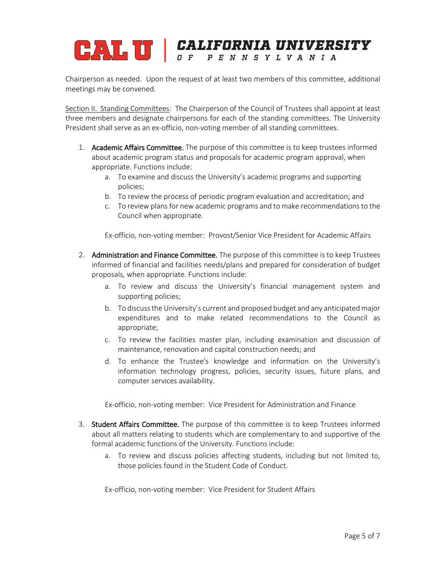## CALL U CALIFORNIA UNIVERSITY OF PENNSYLVANIA

Chairperson as needed. Upon the request of at least two members of this committee, additional meetings may be convened.

Section II. Standing Committees: The Chairperson of the Council of Trustees shall appoint at least three members and designate chairpersons for each of the standing committees. The University President shall serve as an ex-officio, non-voting member of all standing committees.

- 1. Academic Affairs Committee. The purpose of this committee is to keep trustees informed about academic program status and proposals for academic program approval, when appropriate. Functions include:
	- a. To examine and discuss the University's academic programs and supporting policies;
	- b. To review the process of periodic program evaluation and accreditation; and
	- c. To review plans for new academic programs and to make recommendations to the Council when appropriate.

Ex-officio, non-voting member: Provost/Senior Vice President for Academic Affairs

- 2. Administration and Finance Committee. The purpose of this committee is to keep Trustees informed of financial and facilities needs/plans and prepared for consideration of budget proposals, when appropriate. Functions include:
	- a. To review and discuss the University's financial management system and supporting policies;
	- b. To discuss the University's current and proposed budget and any anticipated major expenditures and to make related recommendations to the Council as appropriate;
	- c. To review the facilities master plan, including examination and discussion of maintenance, renovation and capital construction needs; and
	- d. To enhance the Trustee's knowledge and information on the University's information technology progress, policies, security issues, future plans, and computer services availability.

Ex-officio, non-voting member: Vice President for Administration and Finance

- 3. Student Affairs Committee. The purpose of this committee is to keep Trustees informed about all matters relating to students which are complementary to and supportive of the formal academic functions of the University. Functions include:
	- a. To review and discuss policies affecting students, including but not limited to, those policies found in the Student Code of Conduct.

Ex-officio, non-voting member: Vice President for Student Affairs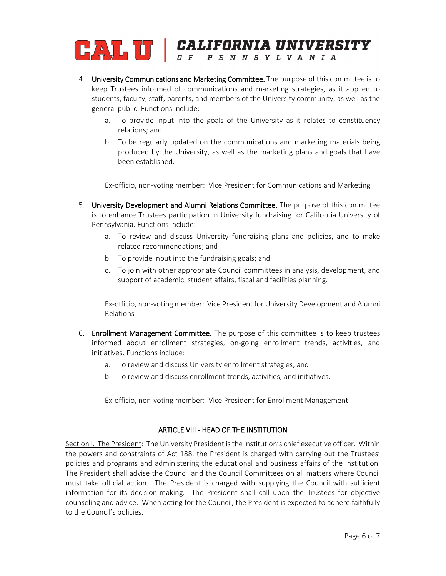# **CALIFORNIA UNIVERSITY**

- 4. University Communications and Marketing Committee. The purpose of this committee is to keep Trustees informed of communications and marketing strategies, as it applied to students, faculty, staff, parents, and members of the University community, as well as the general public. Functions include:
	- a. To provide input into the goals of the University as it relates to constituency relations; and
	- b. To be regularly updated on the communications and marketing materials being produced by the University, as well as the marketing plans and goals that have been established.

Ex-officio, non-voting member: Vice President for Communications and Marketing

- 5. University Development and Alumni Relations Committee. The purpose of this committee is to enhance Trustees participation in University fundraising for California University of Pennsylvania. Functions include:
	- a. To review and discuss University fundraising plans and policies, and to make related recommendations; and
	- b. To provide input into the fundraising goals; and
	- c. To join with other appropriate Council committees in analysis, development, and support of academic, student affairs, fiscal and facilities planning.

Ex-officio, non-voting member: Vice President for University Development and Alumni Relations

- 6. Enrollment Management Committee. The purpose of this committee is to keep trustees informed about enrollment strategies, on-going enrollment trends, activities, and initiatives. Functions include:
	- a. To review and discuss University enrollment strategies; and
	- b. To review and discuss enrollment trends, activities, and initiatives.

Ex-officio, non-voting member: Vice President for Enrollment Management

#### ARTICLE VIII - HEAD OF THE INSTITUTION

Section I. The President: The University President is the institution's chief executive officer. Within the powers and constraints of Act 188, the President is charged with carrying out the Trustees' policies and programs and administering the educational and business affairs of the institution. The President shall advise the Council and the Council Committees on all matters where Council must take official action. The President is charged with supplying the Council with sufficient information for its decision-making. The President shall call upon the Trustees for objective counseling and advice. When acting for the Council, the President is expected to adhere faithfully to the Council's policies.